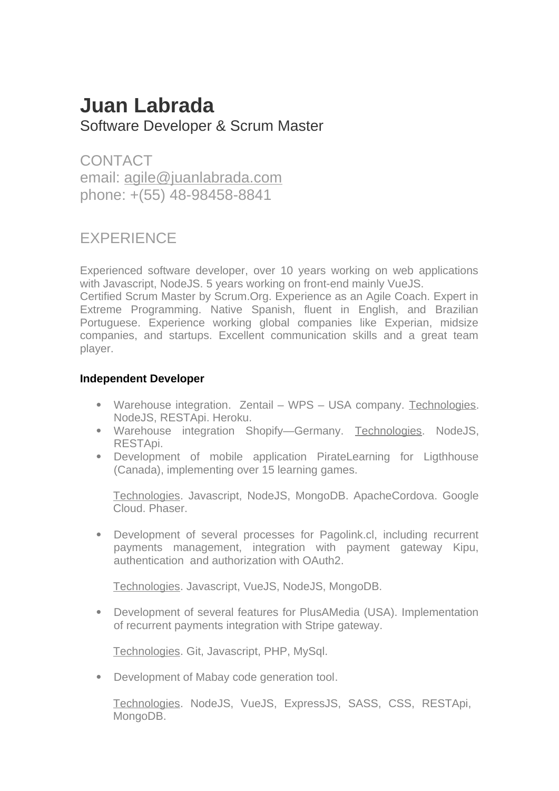# **Juan Labrada**  Software Developer & Scrum Master

**CONTACT** email: agile@juanlabrada.com phone: +(55) 48-98458-8841

# **EXPERIENCE**

Experienced software developer, over 10 years working on web applications with Javascript, NodeJS. 5 years working on front-end mainly VueJS.

Certified Scrum Master by Scrum.Org. Experience as an Agile Coach. Expert in Extreme Programming. Native Spanish, fluent in English, and Brazilian Portuguese. Experience working global companies like Experian, midsize companies, and startups. Excellent communication skills and a great team player.

# **Independent Developer**

- Warehouse integration. Zentail WPS USA company. Technologies. NodeJS, RESTApi. Heroku.
- Warehouse integration Shopify—Germany. Technologies. NodeJS, RESTApi.
- Development of mobile application PirateLearning for Ligthhouse (Canada), implementing over 15 learning games.

Technologies. Javascript, NodeJS, MongoDB. ApacheCordova. Google Cloud. Phaser.

 Development of several processes for Pagolink.cl, including recurrent payments management, integration with payment gateway Kipu, authentication and authorization with OAuth2.

Technologies. Javascript, VueJS, NodeJS, MongoDB.

 Development of several features for PlusAMedia (USA). Implementation of recurrent payments integration with Stripe gateway.

Technologies. Git, Javascript, PHP, MySql.

Development of Mabay code generation tool.

Technologies. NodeJS, VueJS, ExpressJS, SASS, CSS, RESTApi, MongoDB.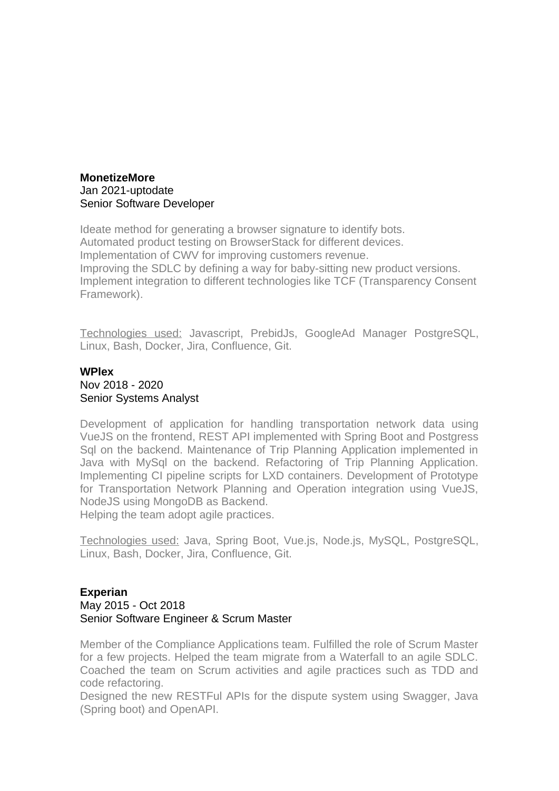#### **MonetizeMore** Jan 2021-uptodate Senior Software Developer

Ideate method for generating a browser signature to identify bots. Automated product testing on BrowserStack for different devices. Implementation of CWV for improving customers revenue. Improving the SDLC by defining a way for baby-sitting new product versions. Implement integration to different technologies like TCF (Transparency Consent Framework).

Technologies used: Javascript, PrebidJs, GoogleAd Manager PostgreSQL, Linux, Bash, Docker, Jira, Confluence, Git.

## **WPlex**  Nov 2018 - 2020 Senior Systems Analyst

Development of application for handling transportation network data using VueJS on the frontend, REST API implemented with Spring Boot and Postgress Sql on the backend. Maintenance of Trip Planning Application implemented in Java with MySql on the backend. Refactoring of Trip Planning Application. Implementing CI pipeline scripts for LXD containers. Development of Prototype for Transportation Network Planning and Operation integration using VueJS, NodeJS using MongoDB as Backend.

Helping the team adopt agile practices.

Technologies used: Java, Spring Boot, Vue.js, Node.js, MySQL, PostgreSQL, Linux, Bash, Docker, Jira, Confluence, Git.

#### **Experian**  May 2015 - Oct 2018 Senior Software Engineer & Scrum Master

Member of the Compliance Applications team. Fulfilled the role of Scrum Master for a few projects. Helped the team migrate from a Waterfall to an agile SDLC. Coached the team on Scrum activities and agile practices such as TDD and code refactoring.

Designed the new RESTFul APIs for the dispute system using Swagger, Java (Spring boot) and OpenAPI.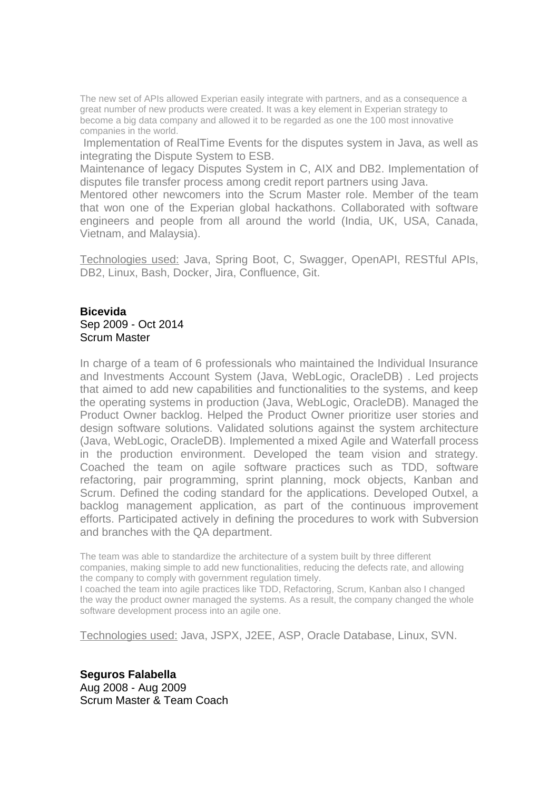The new set of APIs allowed Experian easily integrate with partners, and as a consequence a great number of new products were created. It was a key element in Experian strategy to become a big data company and allowed it to be regarded as one the 100 most innovative companies in the world.

 Implementation of RealTime Events for the disputes system in Java, as well as integrating the Dispute System to ESB.

Maintenance of legacy Disputes System in C, AIX and DB2. Implementation of disputes file transfer process among credit report partners using Java.

Mentored other newcomers into the Scrum Master role. Member of the team that won one of the Experian global hackathons. Collaborated with software engineers and people from all around the world (India, UK, USA, Canada, Vietnam, and Malaysia).

Technologies used: Java, Spring Boot, C, Swagger, OpenAPI, RESTful APIs, DB2, Linux, Bash, Docker, Jira, Confluence, Git.

#### **Bicevida**  Sep 2009 - Oct 2014 Scrum Master

In charge of a team of 6 professionals who maintained the Individual Insurance and Investments Account System (Java, WebLogic, OracleDB) . Led projects that aimed to add new capabilities and functionalities to the systems, and keep the operating systems in production (Java, WebLogic, OracleDB). Managed the Product Owner backlog. Helped the Product Owner prioritize user stories and design software solutions. Validated solutions against the system architecture (Java, WebLogic, OracleDB). Implemented a mixed Agile and Waterfall process in the production environment. Developed the team vision and strategy. Coached the team on agile software practices such as TDD, software refactoring, pair programming, sprint planning, mock objects, Kanban and Scrum. Defined the coding standard for the applications. Developed Outxel, a backlog management application, as part of the continuous improvement efforts. Participated actively in defining the procedures to work with Subversion and branches with the QA department.

The team was able to standardize the architecture of a system built by three different companies, making simple to add new functionalities, reducing the defects rate, and allowing the company to comply with government regulation timely.

I coached the team into agile practices like TDD, Refactoring, Scrum, Kanban also I changed the way the product owner managed the systems. As a result, the company changed the whole software development process into an agile one.

Technologies used: Java, JSPX, J2EE, ASP, Oracle Database, Linux, SVN.

**Seguros Falabella**  Aug 2008 - Aug 2009 Scrum Master & Team Coach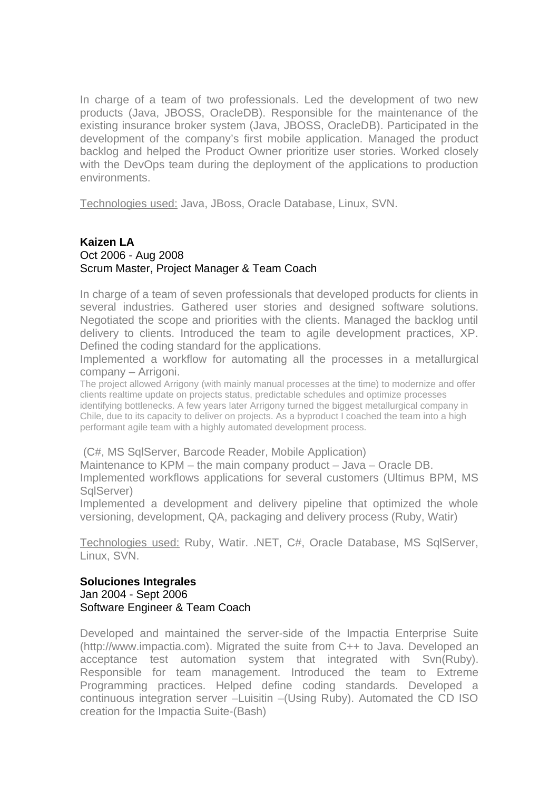In charge of a team of two professionals. Led the development of two new products (Java, JBOSS, OracleDB). Responsible for the maintenance of the existing insurance broker system (Java, JBOSS, OracleDB). Participated in the development of the company's first mobile application. Managed the product backlog and helped the Product Owner prioritize user stories. Worked closely with the DevOps team during the deployment of the applications to production environments.

Technologies used: Java, JBoss, Oracle Database, Linux, SVN.

### **Kaizen LA** Oct 2006 - Aug 2008 Scrum Master, Project Manager & Team Coach

In charge of a team of seven professionals that developed products for clients in several industries. Gathered user stories and designed software solutions. Negotiated the scope and priorities with the clients. Managed the backlog until delivery to clients. Introduced the team to agile development practices, XP. Defined the coding standard for the applications.

Implemented a workflow for automating all the processes in a metallurgical company – Arrigoni.

The project allowed Arrigony (with mainly manual processes at the time) to modernize and offer clients realtime update on projects status, predictable schedules and optimize processes identifying bottlenecks. A few years later Arrigony turned the biggest metallurgical company in Chile, due to its capacity to deliver on projects. As a byproduct I coached the team into a high performant agile team with a highly automated development process.

#### (C#, MS SqlServer, Barcode Reader, Mobile Application)

Maintenance to KPM – the main company product – Java – Oracle DB. Implemented workflows applications for several customers (Ultimus BPM, MS SglServer)

Implemented a development and delivery pipeline that optimized the whole versioning, development, QA, packaging and delivery process (Ruby, Watir)

Technologies used: Ruby, Watir. .NET, C#, Oracle Database, MS SqlServer, Linux, SVN.

#### **Soluciones Integrales**  Jan 2004 - Sept 2006 Software Engineer & Team Coach

Developed and maintained the server-side of the Impactia Enterprise Suite (http://www.impactia.com). Migrated the suite from C++ to Java. Developed an acceptance test automation system that integrated with Svn(Ruby). Responsible for team management. Introduced the team to Extreme Programming practices. Helped define coding standards. Developed a continuous integration server –Luisitin –(Using Ruby). Automated the CD ISO creation for the Impactia Suite-(Bash)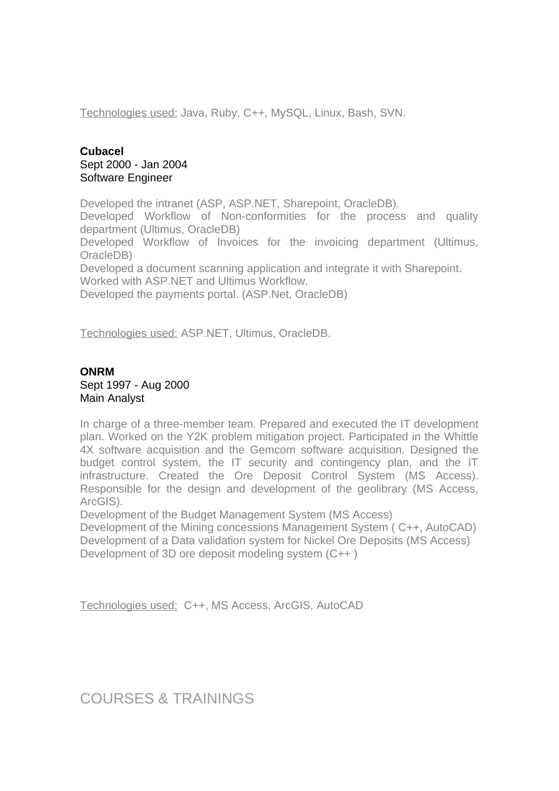Technologies used: Java, Ruby, C++, MySQL, Linux, Bash, SVN.

## **Cubacel**  Sept 2000 - Jan 2004 Software Engineer

Developed the intranet (ASP, ASP.NET, Sharepoint, OracleDB).

Developed Workflow of Non-conformities for the process and quality department (Ultimus, OracleDB)

Developed Workflow of Invoices for the invoicing department (Ultimus, OracleDB)

Developed a document scanning application and integrate it with Sharepoint. Worked with ASP.NET and Ultimus Workflow.

Developed the payments portal. (ASP.Net, OracleDB)

Technologies used: ASP.NET, Ultimus, OracleDB.

### **ONRM** Sept 1997 - Aug 2000 Main Analyst

In charge of a three-member team. Prepared and executed the IT development plan. Worked on the Y2K problem mitigation project. Participated in the Whittle 4X software acquisition and the Gemcom software acquisition. Designed the budget control system, the IT security and contingency plan, and the IT infrastructure. Created the Ore Deposit Control System (MS Access). Responsible for the design and development of the geolibrary (MS Access, ArcGIS).

Development of the Budget Management System (MS Access)

Development of the Mining concessions Management System ( C++, AutoCAD) Development of a Data validation system for Nickel Ore Deposits (MS Access) Development of 3D ore deposit modeling system (C++ )

Technologies used: C++, MS Access, ArcGIS, AutoCAD

COURSES & TRAININGS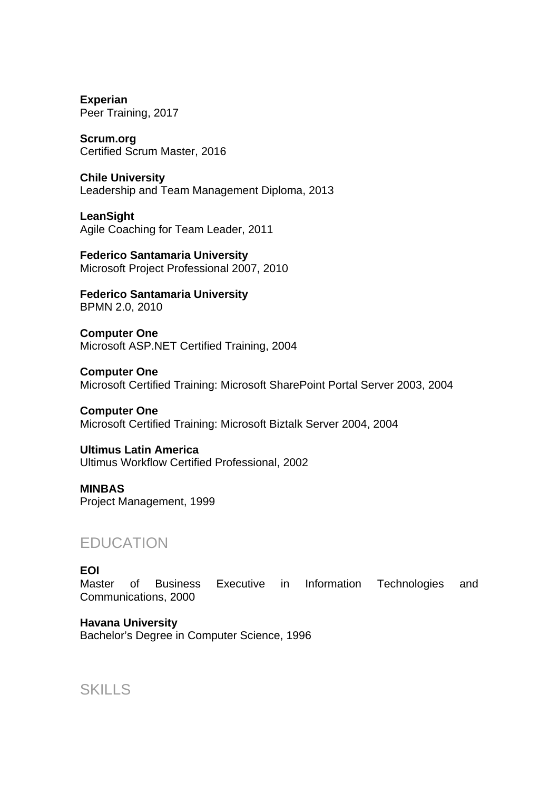**Experian**  Peer Training, 2017

**Scrum.org**  Certified Scrum Master, 2016

**Chile University**  Leadership and Team Management Diploma, 2013

**LeanSight**  Agile Coaching for Team Leader, 2011

**Federico Santamaria University**  Microsoft Project Professional 2007, 2010

**Federico Santamaria University**  BPMN 2.0, 2010

**Computer One**  Microsoft ASP.NET Certified Training, 2004

**Computer One**  Microsoft Certified Training: Microsoft SharePoint Portal Server 2003, 2004

**Computer One**  Microsoft Certified Training: Microsoft Biztalk Server 2004, 2004

**Ultimus Latin America**  Ultimus Workflow Certified Professional, 2002

**MINBAS**  Project Management, 1999

# EDUCATION

### **EOI**

Master of Business Executive in Information Technologies and Communications, 2000

**Havana University** Bachelor's Degree in Computer Science, 1996

SKILLS